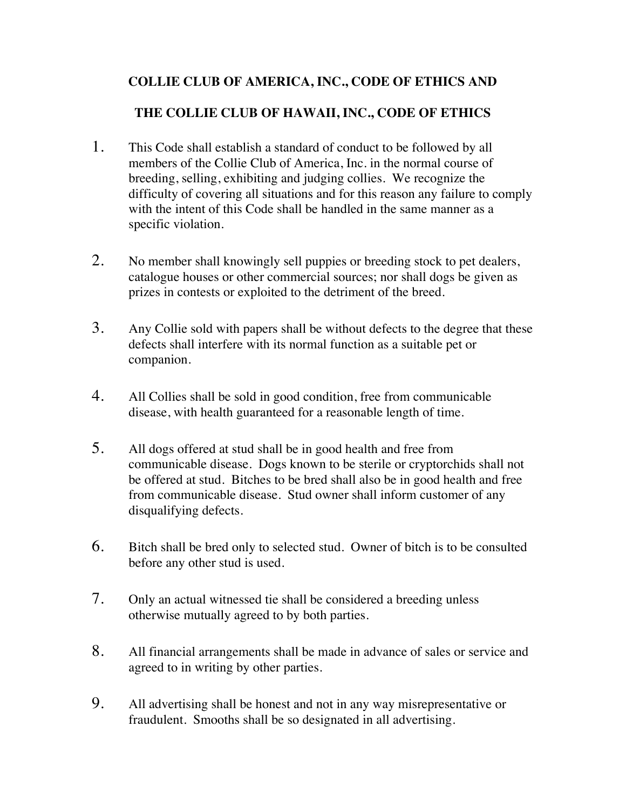## **COLLIE CLUB OF AMERICA, INC., CODE OF ETHICS AND**

## **THE COLLIE CLUB OF HAWAII, INC., CODE OF ETHICS**

- 1. This Code shall establish a standard of conduct to be followed by all members of the Collie Club of America, Inc. in the normal course of breeding, selling, exhibiting and judging collies. We recognize the difficulty of covering all situations and for this reason any failure to comply with the intent of this Code shall be handled in the same manner as a specific violation.
- 2. No member shall knowingly sell puppies or breeding stock to pet dealers, catalogue houses or other commercial sources; nor shall dogs be given as prizes in contests or exploited to the detriment of the breed.
- 3. Any Collie sold with papers shall be without defects to the degree that these defects shall interfere with its normal function as a suitable pet or companion.
- 4. All Collies shall be sold in good condition, free from communicable disease, with health guaranteed for a reasonable length of time.
- 5. All dogs offered at stud shall be in good health and free from communicable disease. Dogs known to be sterile or cryptorchids shall not be offered at stud. Bitches to be bred shall also be in good health and free from communicable disease. Stud owner shall inform customer of any disqualifying defects.
- 6. Bitch shall be bred only to selected stud. Owner of bitch is to be consulted before any other stud is used.
- 7. Only an actual witnessed tie shall be considered a breeding unless otherwise mutually agreed to by both parties.
- 8. All financial arrangements shall be made in advance of sales or service and agreed to in writing by other parties.
- 9. All advertising shall be honest and not in any way misrepresentative or fraudulent. Smooths shall be so designated in all advertising.